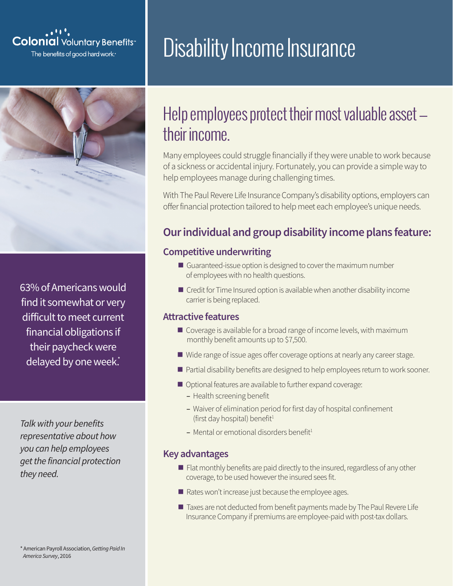### **Colonial Voluntary Benefits**<sup>®</sup> The benefits of good hard work.<sup>®</sup>



63% of Americans would find it somewhat or very difficult to meet current financial obligations if their paycheck were delayed by one week.\*

*Talk with your benefits representative about how you can help employees get the financial protection they need.* 

#### \* American Payroll Association, *Getting Paid In America Survey*, 2016

# Disability Income Insurance

## Help employees protect their most valuable asset their income.

Many employees could struggle financially if they were unable to work because of a sickness or accidental injury. Fortunately, you can provide a simple way to help employees manage during challenging times.

With The Paul Revere Life Insurance Company's disability options, employers can offer financial protection tailored to help meet each employee's unique needs.

### **Our individual and group disability income plans feature:**

#### **Competitive underwriting**

- Guaranteed-issue option is designed to cover the maximum number of employees with no health questions.
- Credit for Time Insured option is available when another disability income carrier is being replaced.

#### **Attractive features**

- Coverage is available for a broad range of income levels, with maximum monthly benefit amounts up to \$7,500.
- Wide range of issue ages offer coverage options at nearly any career stage.
- Partial disability benefits are designed to help employees return to work sooner.
- Optional features are available to further expand coverage:
	- **–** Health screening benefit
	- **–** Waiver of elimination period for first day of hospital confinement (first day hospital) benefit $1$
	- **–** Mental or emotional disorders benefit<sup>1</sup>

#### **Key advantages**

- **Flat monthly benefits are paid directly to the insured, regardless of any other** coverage, to be used however the insured sees fit.
- Rates won't increase just because the employee ages.
- Taxes are not deducted from benefit payments made by The Paul Revere Life Insurance Company if premiums are employee-paid with post-tax dollars.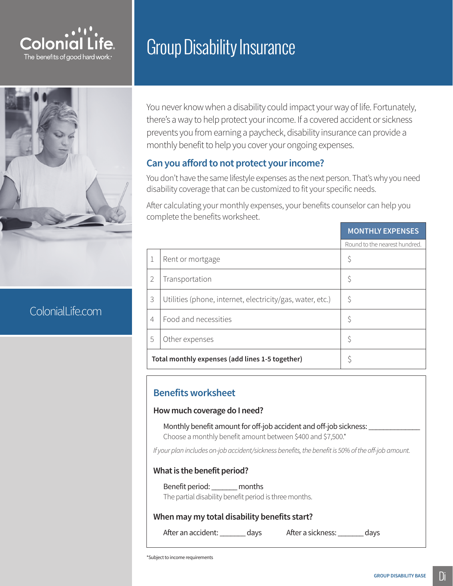### Coloni The benefits of good hard work.

ColonialLife.com

# Group Disability Insurance

You never know when a disability could impact your way of life. Fortunately, there's a way to help protect your income. If a covered accident or sickness prevents you from earning a paycheck, disability insurance can provide a monthly benefit to help you cover your ongoing expenses.

#### **Can you afford to not protect your income?**

You don't have the same lifestyle expenses as the next person. That's why you need disability coverage that can be customized to fit your specific needs.

After calculating your monthly expenses, your benefits counselor can help you complete the benefits worksheet.

|                                                 |                                                           | <b>MONTHLY EXPENSES</b>       |
|-------------------------------------------------|-----------------------------------------------------------|-------------------------------|
|                                                 |                                                           | Round to the nearest hundred. |
|                                                 | Rent or mortgage                                          | \$                            |
| 2                                               | Transportation                                            | \$                            |
| 3                                               | Utilities (phone, internet, electricity/gas, water, etc.) | \$                            |
| $\overline{4}$                                  | Food and necessities                                      | \$                            |
| 5                                               | Other expenses                                            | \$                            |
| Total monthly expenses (add lines 1-5 together) |                                                           |                               |

### **Benefits worksheet**

#### **How much coverage do I need?**

Monthly benefit amount for off-job accident and off-job sickness: Choose a monthly benefit amount between \$400 and \$7,500.\*

*If your plan includes on-job accident/sickness benefits, the benefit is 50% of the off-job amount.*

#### **What is the benefit period?**

Benefit period: \_\_\_\_\_\_\_ months The partial disability benefit period is three months.

#### **When may my total disability benefits start?**

After an accident: \_\_\_\_\_\_\_ days htter a sickness: \_\_\_\_\_\_ days

\*Subject to income requirements